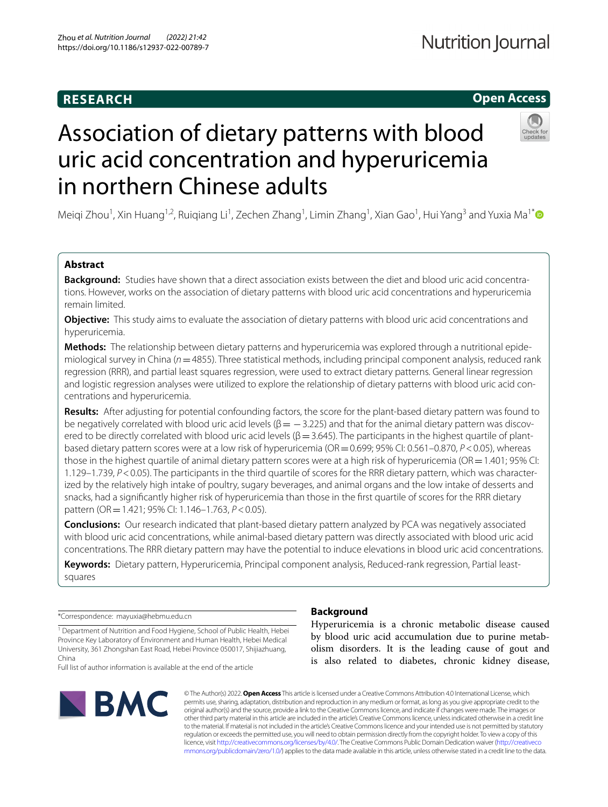# **RESEARCH**

# **Open Access**



# Association of dietary patterns with blood uric acid concentration and hyperuricemia in northern Chinese adults

Meiqi Zhou<sup>1</sup>, Xin Huang<sup>1,2</sup>, Ruiqiang Li<sup>1</sup>, Zechen Zhang<sup>1</sup>, Limin Zhang<sup>1</sup>, Xian Gao<sup>1</sup>, Hui Yang<sup>3</sup> and Yuxia Ma<sup>1\*</sup>

# **Abstract**

**Background:** Studies have shown that a direct association exists between the diet and blood uric acid concentrations. However, works on the association of dietary patterns with blood uric acid concentrations and hyperuricemia remain limited.

**Objective:** This study aims to evaluate the association of dietary patterns with blood uric acid concentrations and hyperuricemia.

**Methods:** The relationship between dietary patterns and hyperuricemia was explored through a nutritional epidemiological survey in China (*n*=4855). Three statistical methods, including principal component analysis, reduced rank regression (RRR), and partial least squares regression, were used to extract dietary patterns. General linear regression and logistic regression analyses were utilized to explore the relationship of dietary patterns with blood uric acid concentrations and hyperuricemia.

**Results:** After adjusting for potential confounding factors, the score for the plant-based dietary pattern was found to be negatively correlated with blood uric acid levels ( $\beta$  =  $-$ 3.225) and that for the animal dietary pattern was discovered to be directly correlated with blood uric acid levels ( $\beta$  = 3.645). The participants in the highest quartile of plantbased dietary pattern scores were at a low risk of hyperuricemia (OR=0.699; 95% CI: 0.561–0.870, *P*<0.05), whereas those in the highest quartile of animal dietary pattern scores were at a high risk of hyperuricemia (OR=1.401; 95% CI: 1.129–1.739, *P*<0.05). The participants in the third quartile of scores for the RRR dietary pattern, which was characterized by the relatively high intake of poultry, sugary beverages, and animal organs and the low intake of desserts and snacks, had a signifcantly higher risk of hyperuricemia than those in the frst quartile of scores for the RRR dietary pattern (OR=1.421; 95% CI: 1.146–1.763, *P*<0.05).

**Conclusions:** Our research indicated that plant-based dietary pattern analyzed by PCA was negatively associated with blood uric acid concentrations, while animal-based dietary pattern was directly associated with blood uric acid concentrations. The RRR dietary pattern may have the potential to induce elevations in blood uric acid concentrations.

**Keywords:** Dietary pattern, Hyperuricemia, Principal component analysis, Reduced-rank regression, Partial leastsquares

\*Correspondence: mayuxia@hebmu.edu.cn

<sup>1</sup> Department of Nutrition and Food Hygiene, School of Public Health, Hebei Province Key Laboratory of Environment and Human Health, Hebei Medical University, 361 Zhongshan East Road, Hebei Province 050017, Shijiazhuang, China

Full list of author information is available at the end of the article



# **Background**

Hyperuricemia is a chronic metabolic disease caused by blood uric acid accumulation due to purine metabolism disorders. It is the leading cause of gout and is also related to diabetes, chronic kidney disease,

© The Author(s) 2022. **Open Access** This article is licensed under a Creative Commons Attribution 4.0 International License, which permits use, sharing, adaptation, distribution and reproduction in any medium or format, as long as you give appropriate credit to the original author(s) and the source, provide a link to the Creative Commons licence, and indicate if changes were made. The images or other third party material in this article are included in the article's Creative Commons licence, unless indicated otherwise in a credit line to the material. If material is not included in the article's Creative Commons licence and your intended use is not permitted by statutory regulation or exceeds the permitted use, you will need to obtain permission directly from the copyright holder. To view a copy of this licence, visit [http://creativecommons.org/licenses/by/4.0/.](http://creativecommons.org/licenses/by/4.0/) The Creative Commons Public Domain Dedication waiver ([http://creativeco](http://creativecommons.org/publicdomain/zero/1.0/) [mmons.org/publicdomain/zero/1.0/](http://creativecommons.org/publicdomain/zero/1.0/)) applies to the data made available in this article, unless otherwise stated in a credit line to the data.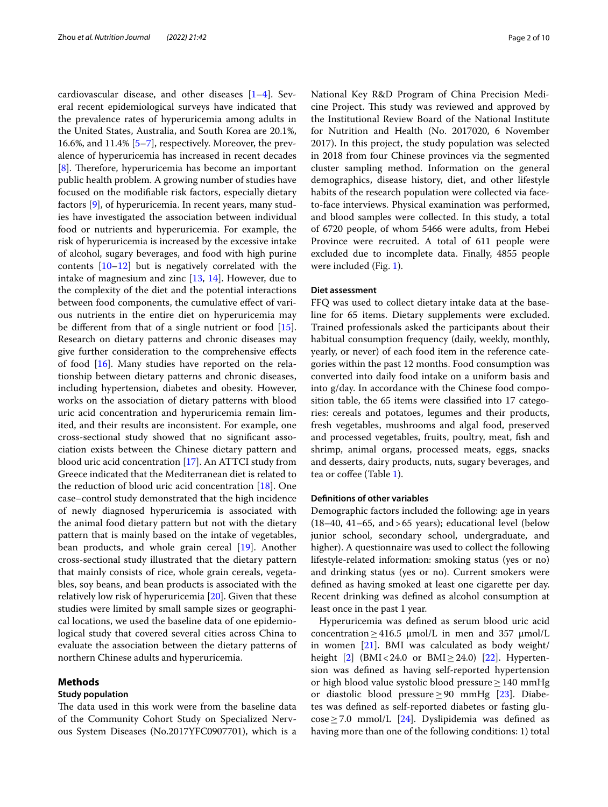cardiovascular disease, and other diseases [\[1](#page-8-0)[–4](#page-8-1)]. Several recent epidemiological surveys have indicated that the prevalence rates of hyperuricemia among adults in the United States, Australia, and South Korea are 20.1%, 16.6%, and 11.4% [\[5](#page-8-2)[–7](#page-8-3)], respectively. Moreover, the prevalence of hyperuricemia has increased in recent decades [[8\]](#page-8-4). Therefore, hyperuricemia has become an important public health problem. A growing number of studies have focused on the modifable risk factors, especially dietary factors [\[9](#page-9-0)], of hyperuricemia. In recent years, many studies have investigated the association between individual food or nutrients and hyperuricemia. For example, the risk of hyperuricemia is increased by the excessive intake of alcohol, sugary beverages, and food with high purine contents [[10](#page-9-1)[–12](#page-9-2)] but is negatively correlated with the intake of magnesium and zinc [[13](#page-9-3), [14\]](#page-9-4). However, due to the complexity of the diet and the potential interactions between food components, the cumulative efect of various nutrients in the entire diet on hyperuricemia may be diferent from that of a single nutrient or food [\[15](#page-9-5)]. Research on dietary patterns and chronic diseases may give further consideration to the comprehensive efects of food [[16](#page-9-6)]. Many studies have reported on the relationship between dietary patterns and chronic diseases, including hypertension, diabetes and obesity. However, works on the association of dietary patterns with blood uric acid concentration and hyperuricemia remain limited, and their results are inconsistent. For example, one cross-sectional study showed that no signifcant association exists between the Chinese dietary pattern and blood uric acid concentration [\[17](#page-9-7)]. An ATTCI study from Greece indicated that the Mediterranean diet is related to the reduction of blood uric acid concentration [[18\]](#page-9-8). One case–control study demonstrated that the high incidence of newly diagnosed hyperuricemia is associated with the animal food dietary pattern but not with the dietary pattern that is mainly based on the intake of vegetables, bean products, and whole grain cereal [[19](#page-9-9)]. Another cross-sectional study illustrated that the dietary pattern that mainly consists of rice, whole grain cereals, vegetables, soy beans, and bean products is associated with the relatively low risk of hyperuricemia [\[20\]](#page-9-10). Given that these studies were limited by small sample sizes or geographical locations, we used the baseline data of one epidemiological study that covered several cities across China to evaluate the association between the dietary patterns of northern Chinese adults and hyperuricemia.

#### **Methods**

## **Study population**

The data used in this work were from the baseline data of the Community Cohort Study on Specialized Nervous System Diseases (No.2017YFC0907701), which is a National Key R&D Program of China Precision Medicine Project. This study was reviewed and approved by the Institutional Review Board of the National Institute for Nutrition and Health (No. 2017020, 6 November 2017). In this project, the study population was selected in 2018 from four Chinese provinces via the segmented cluster sampling method. Information on the general demographics, disease history, diet, and other lifestyle habits of the research population were collected via faceto-face interviews. Physical examination was performed, and blood samples were collected. In this study, a total of 6720 people, of whom 5466 were adults, from Hebei Province were recruited. A total of 611 people were excluded due to incomplete data. Finally, 4855 people were included (Fig. [1\)](#page-2-0).

## **Diet assessment**

FFQ was used to collect dietary intake data at the baseline for 65 items. Dietary supplements were excluded. Trained professionals asked the participants about their habitual consumption frequency (daily, weekly, monthly, yearly, or never) of each food item in the reference categories within the past 12 months. Food consumption was converted into daily food intake on a uniform basis and into g/day. In accordance with the Chinese food composition table, the 65 items were classifed into 17 categories: cereals and potatoes, legumes and their products, fresh vegetables, mushrooms and algal food, preserved and processed vegetables, fruits, poultry, meat, fsh and shrimp, animal organs, processed meats, eggs, snacks and desserts, dairy products, nuts, sugary beverages, and tea or coffee (Table [1\)](#page-2-1).

#### **Defnitions of other variables**

Demographic factors included the following: age in years (18–40, 41–65, and>65 years); educational level (below junior school, secondary school, undergraduate, and higher). A questionnaire was used to collect the following lifestyle-related information: smoking status (yes or no) and drinking status (yes or no). Current smokers were defned as having smoked at least one cigarette per day. Recent drinking was defned as alcohol consumption at least once in the past 1 year.

Hyperuricemia was defned as serum blood uric acid concentration  $\geq$  416.5  $\mu$ mol/L in men and 357  $\mu$ mol/L in women [[21\]](#page-9-11). BMI was calculated as body weight/ height  $[2]$  $[2]$  (BMI<24.0 or BMI $\geq$ 24.0) [\[22](#page-9-12)]. Hypertension was defned as having self-reported hypertension or high blood value systolic blood pressure≥140 mmHg or diastolic blood pressure≥90 mmHg [\[23](#page-9-13)]. Diabetes was defned as self-reported diabetes or fasting glucose≥7.0 mmol/L [\[24](#page-9-14)]. Dyslipidemia was defned as having more than one of the following conditions: 1) total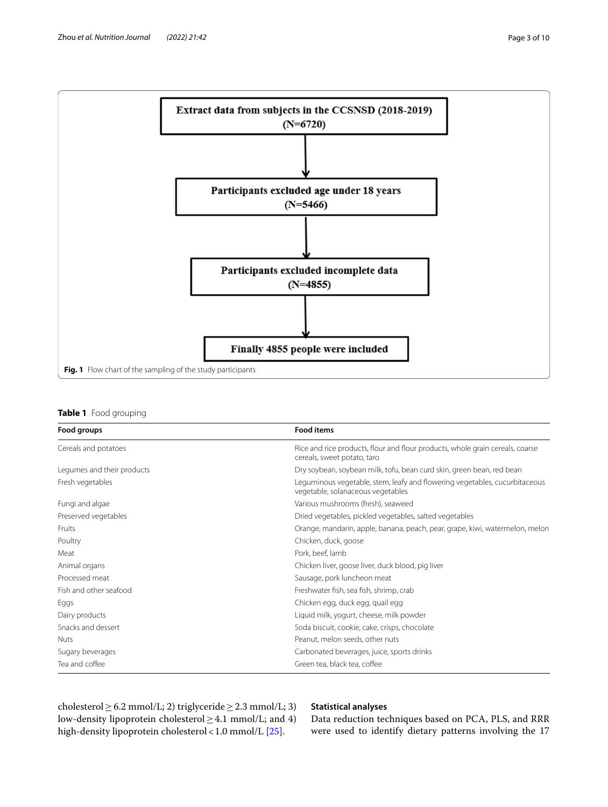

## <span id="page-2-1"></span><span id="page-2-0"></span>**Table 1** Food grouping

| Food groups                | <b>Food items</b>                                                                                               |
|----------------------------|-----------------------------------------------------------------------------------------------------------------|
| Cereals and potatoes       | Rice and rice products, flour and flour products, whole grain cereals, coarse<br>cereals, sweet potato, taro    |
| Legumes and their products | Dry soybean, soybean milk, tofu, bean curd skin, green bean, red bean                                           |
| Fresh vegetables           | Leguminous vegetable, stem, leafy and flowering vegetables, cucurbitaceous<br>vegetable, solanaceous vegetables |
| Fungi and algae            | Various mushrooms (fresh), seaweed                                                                              |
| Preserved vegetables       | Dried vegetables, pickled vegetables, salted vegetables                                                         |
| Fruits                     | Orange, mandarin, apple, banana, peach, pear, grape, kiwi, watermelon, melon                                    |
| Poultry                    | Chicken, duck, goose                                                                                            |
| Meat                       | Pork, beef, lamb                                                                                                |
| Animal organs              | Chicken liver, goose liver, duck blood, pig liver                                                               |
| Processed meat             | Sausage, pork luncheon meat                                                                                     |
| Fish and other seafood     | Freshwater fish, sea fish, shrimp, crab                                                                         |
| Eggs                       | Chicken egg, duck egg, quail egg                                                                                |
| Dairy products             | Liquid milk, yogurt, cheese, milk powder                                                                        |
| Snacks and dessert         | Soda biscuit, cookie, cake, crisps, chocolate                                                                   |
| <b>Nuts</b>                | Peanut, melon seeds, other nuts                                                                                 |
| Sugary beverages           | Carbonated beverages, juice, sports drinks                                                                      |
| Tea and coffee             | Green tea, black tea, coffee                                                                                    |

cholesterol  $\geq$  6.2 mmol/L; 2) triglyceride  $\geq$  2.3 mmol/L; 3) low-density lipoprotein cholesterol≥4.1 mmol/L; and 4) high-density lipoprotein cholesterol < 1.0 mmol/L [[25\]](#page-9-15).

# **Statistical analyses**

Data reduction techniques based on PCA, PLS, and RRR were used to identify dietary patterns involving the 17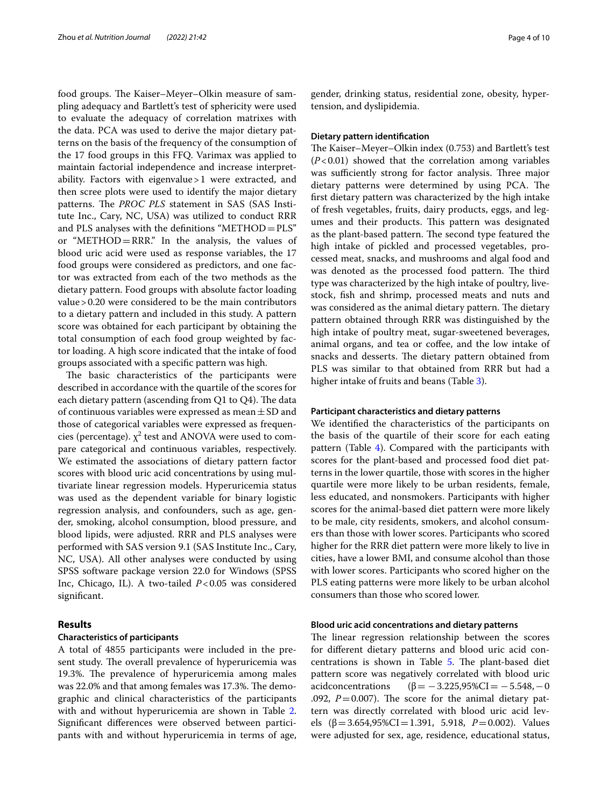food groups. The Kaiser-Meyer-Olkin measure of sampling adequacy and Bartlett's test of sphericity were used to evaluate the adequacy of correlation matrixes with the data. PCA was used to derive the major dietary patterns on the basis of the frequency of the consumption of the 17 food groups in this FFQ. Varimax was applied to maintain factorial independence and increase interpretability. Factors with eigenvalue>1 were extracted, and then scree plots were used to identify the major dietary patterns. The *PROC PLS* statement in SAS (SAS Institute Inc., Cary, NC, USA) was utilized to conduct RRR and PLS analyses with the defnitions "METHOD=PLS" or "METHOD=RRR." In the analysis, the values of blood uric acid were used as response variables, the 17 food groups were considered as predictors, and one factor was extracted from each of the two methods as the dietary pattern. Food groups with absolute factor loading value>0.20 were considered to be the main contributors to a dietary pattern and included in this study. A pattern score was obtained for each participant by obtaining the total consumption of each food group weighted by factor loading. A high score indicated that the intake of food groups associated with a specifc pattern was high.

The basic characteristics of the participants were described in accordance with the quartile of the scores for each dietary pattern (ascending from  $Q1$  to  $Q4$ ). The data of continuous variables were expressed as mean  $\pm$  SD and those of categorical variables were expressed as frequencies (percentage).  $\chi^2$  test and ANOVA were used to compare categorical and continuous variables, respectively. We estimated the associations of dietary pattern factor scores with blood uric acid concentrations by using multivariate linear regression models. Hyperuricemia status was used as the dependent variable for binary logistic regression analysis, and confounders, such as age, gender, smoking, alcohol consumption, blood pressure, and blood lipids, were adjusted. RRR and PLS analyses were performed with SAS version 9.1 (SAS Institute Inc., Cary, NC, USA). All other analyses were conducted by using SPSS software package version 22.0 for Windows (SPSS Inc, Chicago, IL). A two-tailed *P*<0.05 was considered signifcant.

## **Results**

## **Characteristics of participants**

A total of 4855 participants were included in the present study. The overall prevalence of hyperuricemia was 19.3%. The prevalence of hyperuricemia among males was 22.0% and that among females was 17.3%. The demographic and clinical characteristics of the participants with and without hyperuricemia are shown in Table [2](#page-4-0). Signifcant diferences were observed between participants with and without hyperuricemia in terms of age, gender, drinking status, residential zone, obesity, hypertension, and dyslipidemia.

#### **Dietary pattern identifcation**

The Kaiser–Meyer–Olkin index (0.753) and Bartlett's test (*P*<0.01) showed that the correlation among variables was sufficiently strong for factor analysis. Three major dietary patterns were determined by using PCA. The frst dietary pattern was characterized by the high intake of fresh vegetables, fruits, dairy products, eggs, and legumes and their products. This pattern was designated as the plant-based pattern. The second type featured the high intake of pickled and processed vegetables, processed meat, snacks, and mushrooms and algal food and was denoted as the processed food pattern. The third type was characterized by the high intake of poultry, livestock, fsh and shrimp, processed meats and nuts and was considered as the animal dietary pattern. The dietary pattern obtained through RRR was distinguished by the high intake of poultry meat, sugar-sweetened beverages, animal organs, and tea or coffee, and the low intake of snacks and desserts. The dietary pattern obtained from PLS was similar to that obtained from RRR but had a higher intake of fruits and beans (Table [3\)](#page-5-0).

## **Participant characteristics and dietary patterns**

We identifed the characteristics of the participants on the basis of the quartile of their score for each eating pattern (Table [4\)](#page-6-0). Compared with the participants with scores for the plant-based and processed food diet patterns in the lower quartile, those with scores in the higher quartile were more likely to be urban residents, female, less educated, and nonsmokers. Participants with higher scores for the animal-based diet pattern were more likely to be male, city residents, smokers, and alcohol consumers than those with lower scores. Participants who scored higher for the RRR diet pattern were more likely to live in cities, have a lower BMI, and consume alcohol than those with lower scores. Participants who scored higher on the PLS eating patterns were more likely to be urban alcohol consumers than those who scored lower.

#### **Blood uric acid concentrations and dietary patterns**

The linear regression relationship between the scores for diferent dietary patterns and blood uric acid con-centrations is shown in Table [5](#page-7-0). The plant-based diet pattern score was negatively correlated with blood uric acidconcentrations  $(β = -3.225,95% CI = -5.548, -0)$ .092,  $P = 0.007$ ). The score for the animal dietary pattern was directly correlated with blood uric acid levels (β=3.654,95%CI=1.391, 5.918, *P*=0.002). Values were adjusted for sex, age, residence, educational status,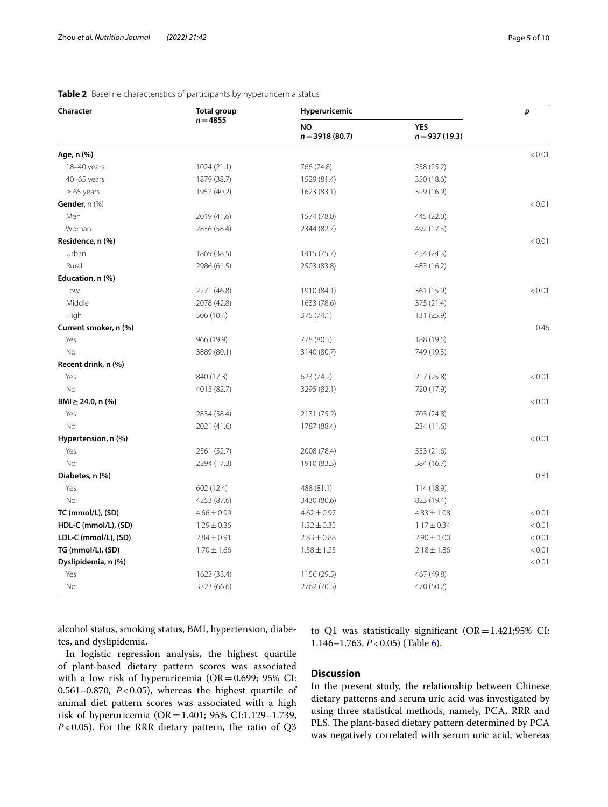| Character               | <b>Total group</b> | Hyperuricemic                 |                               | p      |
|-------------------------|--------------------|-------------------------------|-------------------------------|--------|
|                         | $n = 4855$         | <b>NO</b><br>$n = 3918(80.7)$ | <b>YES</b><br>$n = 937(19.3)$ |        |
| Age, n (%)              |                    |                               |                               | < 0.01 |
| 18-40 years             | 1024(21.1)         | 766 (74.8)                    | 258 (25.2)                    |        |
| $40-65$ years           | 1879 (38.7)        | 1529 (81.4)                   | 350 (18.6)                    |        |
| $\geq$ 65 years         | 1952 (40.2)        | 1623 (83.1)                   | 329 (16.9)                    |        |
| Gender, n (%)           |                    |                               |                               | < 0.01 |
| Men                     | 2019 (41.6)        | 1574 (78.0)                   | 445 (22.0)                    |        |
| Woman                   | 2836 (58.4)        | 2344 (82.7)                   | 492 (17.3)                    |        |
| Residence, n (%)        |                    |                               |                               | < 0.01 |
| Urban                   | 1869 (38.5)        | 1415 (75.7)                   | 454 (24.3)                    |        |
| Rural                   | 2986 (61.5)        | 2503 (83.8)                   | 483 (16.2)                    |        |
| Education, n (%)        |                    |                               |                               |        |
| Low                     | 2271 (46.8)        | 1910 (84.1)                   | 361 (15.9)                    | < 0.01 |
| Middle                  | 2078 (42.8)        | 1633 (78.6)                   | 375 (21.4)                    |        |
| High                    | 506 (10.4)         | 375 (74.1)                    | 131 (25.9)                    |        |
| Current smoker, n (%)   |                    |                               |                               | 0.46   |
| Yes                     | 966 (19.9)         | 778 (80.5)                    | 188 (19.5)                    |        |
| No                      | 3889 (80.1)        | 3140 (80.7)                   | 749 (19.3)                    |        |
| Recent drink, n (%)     |                    |                               |                               |        |
| Yes                     | 840 (17.3)         | 623 (74.2)                    | 217 (25.8)                    | < 0.01 |
| <b>No</b>               | 4015 (82.7)        | 3295 (82.1)                   | 720 (17.9)                    |        |
| $BMI \geq 24.0$ , n (%) |                    |                               |                               | < 0.01 |
| Yes                     | 2834 (58.4)        | 2131 (75.2)                   | 703 (24.8)                    |        |
| No                      | 2021 (41.6)        | 1787 (88.4)                   | 234 (11.6)                    |        |
| Hypertension, n (%)     |                    |                               |                               | < 0.01 |
| Yes                     | 2561 (52.7)        | 2008 (78.4)                   | 553 (21.6)                    |        |
| No                      | 2294 (17.3)        | 1910 (83.3)                   | 384 (16.7)                    |        |
| Diabetes, n (%)         |                    |                               |                               | 0.81   |
| Yes                     | 602 (12.4)         | 488 (81.1)                    | 114 (18.9)                    |        |
| No                      | 4253 (87.6)        | 3430 (80.6)                   | 823 (19.4)                    |        |
| TC (mmol/L), (SD)       | $4.66 \pm 0.99$    | $4.62 \pm 0.97$               | $4.83 \pm 1.08$               | < 0.01 |
| HDL-C (mmol/L), (SD)    | $1.29 \pm 0.36$    | $1.32 \pm 0.35$               | $1.17 \pm 0.34$               | < 0.01 |
| LDL-C (mmol/L), (SD)    | $2.84 \pm 0.91$    | $2.83 \pm 0.88$               | $2.90 \pm 1.00$               | < 0.01 |
| TG (mmol/L), (SD)       | $1.70 \pm 1.66$    | $1.58 \pm 1.25$               | $2.18 \pm 1.86$               | < 0.01 |
| Dyslipidemia, n (%)     |                    |                               |                               | < 0.01 |
| Yes                     | 1623 (33.4)        | 1156 (29.5)                   | 467 (49.8)                    |        |
| No                      | 3323 (66.6)        | 2762 (70.5)                   | 470 (50.2)                    |        |

# <span id="page-4-0"></span>**Table 2** Baseline characteristics of participants by hyperuricemia status

alcohol status, smoking status, BMI, hypertension, diabetes, and dyslipidemia.

In logistic regression analysis, the highest quartile of plant-based dietary pattern scores was associated with a low risk of hyperuricemia ( $OR = 0.699$ ; 95% CI: 0.561–0.870, *P*<0.05), whereas the highest quartile of animal diet pattern scores was associated with a high risk of hyperuricemia (OR=1.401; 95% CI:1.129–1.739, *P*<0.05). For the RRR dietary pattern, the ratio of Q3 to Q1 was statistically significant ( $OR = 1.421;95\%$  CI: 1.146–1.763, *P*<0.05) (Table [6\)](#page-7-1).

# **Discussion**

In the present study, the relationship between Chinese dietary patterns and serum uric acid was investigated by using three statistical methods, namely, PCA, RRR and PLS. The plant-based dietary pattern determined by PCA was negatively correlated with serum uric acid, whereas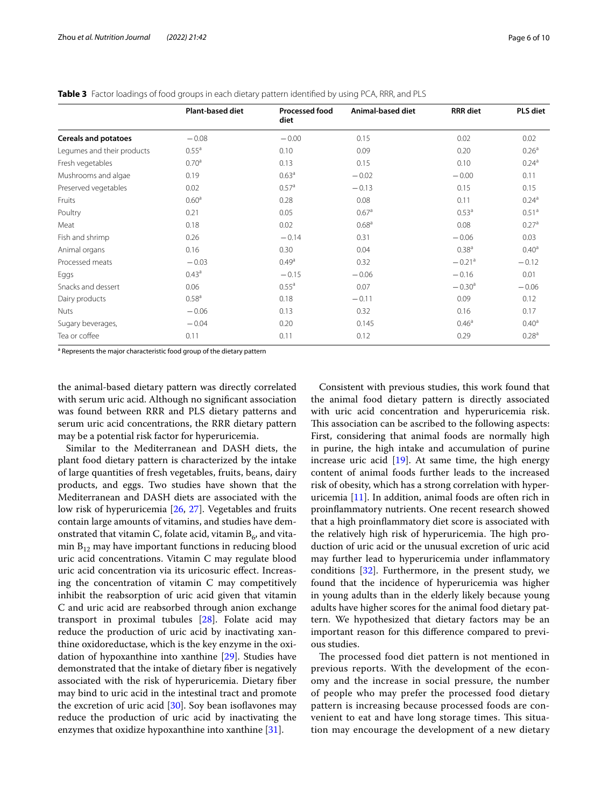|                             | Plant-based diet  | <b>Processed food</b><br>diet | Animal-based diet | <b>RRR</b> diet      | <b>PLS diet</b>   |
|-----------------------------|-------------------|-------------------------------|-------------------|----------------------|-------------------|
| <b>Cereals and potatoes</b> | $-0.08$           | $-0.00$                       | 0.15              | 0.02                 | 0.02              |
| Legumes and their products  | $0.55^{\circ}$    | 0.10                          | 0.09              | 0.20                 | 0.26 <sup>a</sup> |
| Fresh vegetables            | 0.70 <sup>a</sup> | 0.13                          | 0.15              | 0.10                 | $0.24^{a}$        |
| Mushrooms and algae         | 0.19              | 0.63 <sup>a</sup>             | $-0.02$           | $-0.00$              | 0.11              |
| Preserved vegetables        | 0.02              | 0.57 <sup>a</sup>             | $-0.13$           | 0.15                 | 0.15              |
| Fruits                      | 0.60 <sup>a</sup> | 0.28                          | 0.08              | 0.11                 | $0.24^{a}$        |
| Poultry                     | 0.21              | 0.05                          | 0.67 <sup>a</sup> | 0.53 <sup>a</sup>    | 0.51 <sup>a</sup> |
| Meat                        | 0.18              | 0.02                          | 0.68 <sup>a</sup> | 0.08                 | 0.27 <sup>a</sup> |
| Fish and shrimp             | 0.26              | $-0.14$                       | 0.31              | $-0.06$              | 0.03              |
| Animal organs               | 0.16              | 0.30                          | 0.04              | 0.38 <sup>a</sup>    | $0.40^{\circ}$    |
| Processed meats             | $-0.03$           | 0.49 <sup>a</sup>             | 0.32              | $-0.21$ <sup>a</sup> | $-0.12$           |
| Eggs                        | $0.43^{\circ}$    | $-0.15$                       | $-0.06$           | $-0.16$              | 0.01              |
| Snacks and dessert          | 0.06              | 0.55 <sup>a</sup>             | 0.07              | $-0.30a$             | $-0.06$           |
| Dairy products              | 0.58 <sup>a</sup> | 0.18                          | $-0.11$           | 0.09                 | 0.12              |
| <b>Nuts</b>                 | $-0.06$           | 0.13                          | 0.32              | 0.16                 | 0.17              |
| Sugary beverages,           | $-0.04$           | 0.20                          | 0.145             | 0.46 <sup>a</sup>    | $0.40^{\circ}$    |
| Tea or coffee               | 0.11              | 0.11                          | 0.12              | 0.29                 | 0.28 <sup>a</sup> |

<span id="page-5-0"></span>**Table 3** Factor loadings of food groups in each dietary pattern identifed by using PCA, RRR, and PLS

<sup>a</sup> Represents the major characteristic food group of the dietary pattern

the animal-based dietary pattern was directly correlated with serum uric acid. Although no signifcant association was found between RRR and PLS dietary patterns and serum uric acid concentrations, the RRR dietary pattern may be a potential risk factor for hyperuricemia.

Similar to the Mediterranean and DASH diets, the plant food dietary pattern is characterized by the intake of large quantities of fresh vegetables, fruits, beans, dairy products, and eggs. Two studies have shown that the Mediterranean and DASH diets are associated with the low risk of hyperuricemia [[26,](#page-9-16) [27\]](#page-9-17). Vegetables and fruits contain large amounts of vitamins, and studies have demonstrated that vitamin C, folate acid, vitamin  $B_6$ , and vitamin  $B_{12}$  may have important functions in reducing blood uric acid concentrations. Vitamin C may regulate blood uric acid concentration via its uricosuric efect. Increasing the concentration of vitamin C may competitively inhibit the reabsorption of uric acid given that vitamin C and uric acid are reabsorbed through anion exchange transport in proximal tubules [[28\]](#page-9-18). Folate acid may reduce the production of uric acid by inactivating xanthine oxidoreductase, which is the key enzyme in the oxidation of hypoxanthine into xanthine [[29\]](#page-9-19). Studies have demonstrated that the intake of dietary fber is negatively associated with the risk of hyperuricemia. Dietary fber may bind to uric acid in the intestinal tract and promote the excretion of uric acid  $[30]$  $[30]$ . Soy bean isoflavones may reduce the production of uric acid by inactivating the enzymes that oxidize hypoxanthine into xanthine [[31\]](#page-9-21).

Consistent with previous studies, this work found that the animal food dietary pattern is directly associated with uric acid concentration and hyperuricemia risk. This association can be ascribed to the following aspects: First, considering that animal foods are normally high in purine, the high intake and accumulation of purine increase uric acid  $[19]$  $[19]$ . At same time, the high energy content of animal foods further leads to the increased risk of obesity, which has a strong correlation with hyperuricemia [[11\]](#page-9-22). In addition, animal foods are often rich in proinfammatory nutrients. One recent research showed that a high proinfammatory diet score is associated with the relatively high risk of hyperuricemia. The high production of uric acid or the unusual excretion of uric acid may further lead to hyperuricemia under infammatory conditions  $[32]$  $[32]$ . Furthermore, in the present study, we found that the incidence of hyperuricemia was higher in young adults than in the elderly likely because young adults have higher scores for the animal food dietary pattern. We hypothesized that dietary factors may be an important reason for this diference compared to previous studies.

The processed food diet pattern is not mentioned in previous reports. With the development of the economy and the increase in social pressure, the number of people who may prefer the processed food dietary pattern is increasing because processed foods are convenient to eat and have long storage times. This situation may encourage the development of a new dietary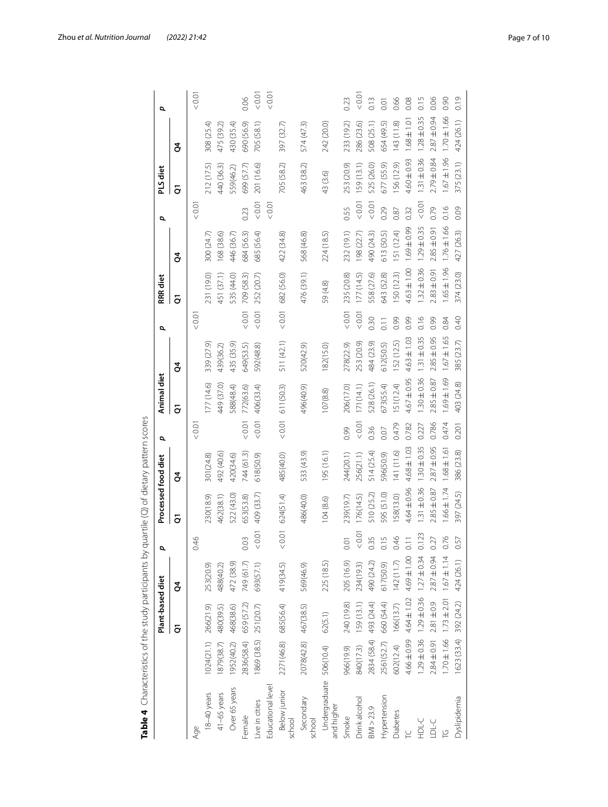|             | Plant-based diet                                                                           |                                                                                                                                                 |                                                              | Processed food diet |                 | p       | Animal diet     |                    | p        | RRR diet        |                     | σ          | <b>PLS</b> diet |                 | p    |
|-------------|--------------------------------------------------------------------------------------------|-------------------------------------------------------------------------------------------------------------------------------------------------|--------------------------------------------------------------|---------------------|-----------------|---------|-----------------|--------------------|----------|-----------------|---------------------|------------|-----------------|-----------------|------|
|             | ā                                                                                          | ğ                                                                                                                                               |                                                              | ā                   | ğ               |         | ā               | ğ                  |          | ā               | ğ                   |            | ā               | ð.              |      |
|             |                                                                                            |                                                                                                                                                 | $\frac{46}{5}$                                               |                     |                 | < 0.01  |                 |                    | 0.01     |                 |                     | 0.01       |                 |                 | 0.01 |
|             |                                                                                            | 253(20.9)                                                                                                                                       |                                                              | 230(18.9)           | 301(24.8)       |         | (14.6)          | 339 (27.9)         |          | 231 (19.0)      | 300 (24.7)          |            | 212 (17.5)      | 308 (25.4)      |      |
| 1879(38.7)  | 480(39.5)                                                                                  | 488(40.2)                                                                                                                                       |                                                              | 462(38.1)           | 492 (40.6)      |         | 449 (37.0)      | 439(36.2)          |          | 451 (37.1)      | 168 (38.6)          |            | 440 (36.3)      | 475 (39.2)      |      |
| 1952(40.2)  | 468(38.6)                                                                                  | 472 (38.9)                                                                                                                                      |                                                              | 522 (43.0)          | 420(34.6)       |         | 588(48.4)       | 435 (35.9)         |          | 535 (44.0)      | 446 (36.7)          |            | 559(46.2)       | 430 (35.4)      |      |
| 2836(58.4)  | 659 (57.2)                                                                                 | 749 (61.7)                                                                                                                                      | $\ddot{\circ}$                                               | 653(53.8)           | 744 (61.3)      | 0.01    | 772(63.6)       | 649(53.5)          | $< 0.01$ | 709 (58.3)      | 684 (56.3)          | 0.23       | 699 (57.7)      | 690 (56.9)      | 0.06 |
| 1869 (38.5) | 251(20.7)                                                                                  | 693(57.1)                                                                                                                                       | 0.01                                                         | 409 (33.7)          | 618(50.9)       | $<0.01$ | 406(33.4)       | 592(48.8)          | < 0.01   | 252 (20.7)      | 685 (56.4)          | < 0.01     | 201 (16.6)      | 705 (58.1)      | 0.01 |
|             |                                                                                            |                                                                                                                                                 |                                                              |                     |                 |         |                 |                    |          |                 |                     | 0.01       |                 |                 | 0.01 |
|             |                                                                                            |                                                                                                                                                 | 0.01                                                         |                     | 485(40.0)       |         |                 | 511 (42.1)         |          |                 |                     |            | 705 (58.2)      | 397 (32.7)      |      |
|             |                                                                                            | 569(46.9)                                                                                                                                       |                                                              | 486(40.0)           | 533 (43.9)      |         | 496(40.9)       | 520(42.9)          |          | 476 (39.1)      | 568 (46.8)          |            | 463 (38.2)      | 574 (47.3)      |      |
|             | 62(5.1)                                                                                    | 225 (18.5)                                                                                                                                      |                                                              | 104(8.6)            | 195 (16.1)      |         | 107(8.8)        | 182(15.0)          |          | 59 (4.8)        | 224 (18.5)          |            | 43 (3.6)        | 242 (20.0)      |      |
|             | 240 (19.8)                                                                                 | 205 (16.9)                                                                                                                                      | ā                                                            | 239(19.7)           | 244(20.1)       | 0.99    | 206(17.0)       | 278(22.9)          | 10.01    | 235 (20.8)      | 232 (19.1)          | 0.55       | 253 (20.9)      | 233 (19.2)      | 0.23 |
|             | 159(13.1)                                                                                  | 234(19.3)                                                                                                                                       | 10.01                                                        | 176(14.5)           | 256(21.1)       | 10.01   | 171(14.1)       | 253 (20.9)         | 10.01    | 177(14.5)       | 198 (22.7)          | < 0.01     | 159 (13.1)      | 286 (23.6)      | 0.01 |
| 2834 (58.4) | 493 (24.4)                                                                                 | 490 (24.2)                                                                                                                                      | 0.35                                                         | 510 (25.2)          | 514 (25.4)      | 0.36    | 528 (26.1)      | 484 (23.9)         | 0.30     | 558 (27.6)      | 490 (24.3)          | < 0.01     | 525 (26.0)      | 508 (25.1)      | 0.13 |
|             | 660 (54.4)                                                                                 | 617(50.9)                                                                                                                                       | 0.15                                                         | 595 (51.0)          | 596(50.9)       | 0.07    | 673(55.4)       | 612(50.5)          | 0.11     | 643 (52.8)      | 613 (50.5)          | 0.29       | 677 (55.9)      | 654 (49.5)      | 0.01 |
|             | 166(13.7)                                                                                  | 142(11.7)                                                                                                                                       | 0.46                                                         | 58(13.0)            | 141 (11.6)      | 0.479   | 51 (12.4)       | I52 (12.5)         | 0.99     | 150 (12.3)      | 151 (12.4)          | 0.87       | 156 (12.9)      | 143 (11.8)      | 0.66 |
|             |                                                                                            | 4.69±1.00                                                                                                                                       | 2.11                                                         | 4.64±0.96           | 4.68±1.03       | 0.782   | $4.67 \pm 0.95$ | $4.63 \pm 1.03$    | 0.99     | $4.63 \pm 1.00$ | 1.69±0.99           | 0.32       | $4.60 \pm 0.93$ | $1.68 \pm 1.01$ | 0.08 |
|             |                                                                                            |                                                                                                                                                 | 0.123                                                        | $1.31 \pm 0.36$     | $1.30 \pm 0.35$ | 0.227   | $.30 \pm 0.36$  | $1.31 \pm 0.35$    | 0.16     | $1.32 \pm 0.36$ | $1.29 \pm 0.35$     | 0.01       | $1.31 \pm 0.36$ | $1.28 \pm 0.35$ | 0.15 |
|             | $2.81 \pm 0.9$                                                                             | $2.87 \pm 0.94$                                                                                                                                 | 27                                                           | $2.85 \pm 0.87$     | $2.87 \pm 0.95$ | 0.786   | $2.85 \pm 0.87$ | $2.85 \pm 0.95$    | 0.99     | $2.83 + 0.91$   | $2.85 \pm 0.91$     | 0.79       | 2.79±0.84       | $2.87 \pm 0.94$ | 0.06 |
|             |                                                                                            | $1.67 \pm 1.14$                                                                                                                                 | 076                                                          | $1.66 \pm 1.74$     | $1.68 \pm 1.61$ | 0.474   | 1.69±1.69       | $1.67 \pm 1.65$    | 0.84     | $1.65 \pm 1.96$ | $1.76 \pm 1.66$     | 0.16       | $-67 \pm 1.96$  | $1.70 \pm 1.66$ | 0.90 |
|             | 392 (24.2)                                                                                 | 424 (26.1)                                                                                                                                      | 57                                                           | 397 (24.5)          | 386 (23.8)      | 0.201   | 403 (24.8)      | 385 (23.7)         | 0.40     | 374 (23.0)      | 427 (26.3)          | 0.09       | 375 (23.1)      | 424 (26.1)      | 0.19 |
|             | 2561(52.7)<br>602(12.4)<br>2078(42.8)<br>Undergraduate 506(10.4)<br>840(17.3)<br>966(19.9) | $1.70 \pm 1.66$ $1.73 \pm 2.01$<br>4.66±0.99 4.64±1.02<br>2271(46.8) 685(56.4)<br>467(38.5)<br>1024(21.1) 266(21.9)<br>1623 (33.4)<br>2.84±0.91 | $1.29 \pm 0.36$ $1.29 \pm 0.36$ $1.27 \pm 0.34$<br>419(34.5) | O                   | 624(51.4)       |         |                 | $< 0.01$ 611(50.3) |          |                 | $< 0.01$ 682 (56.0) | 422 (34.8) |                 |                 |      |

<span id="page-6-0"></span>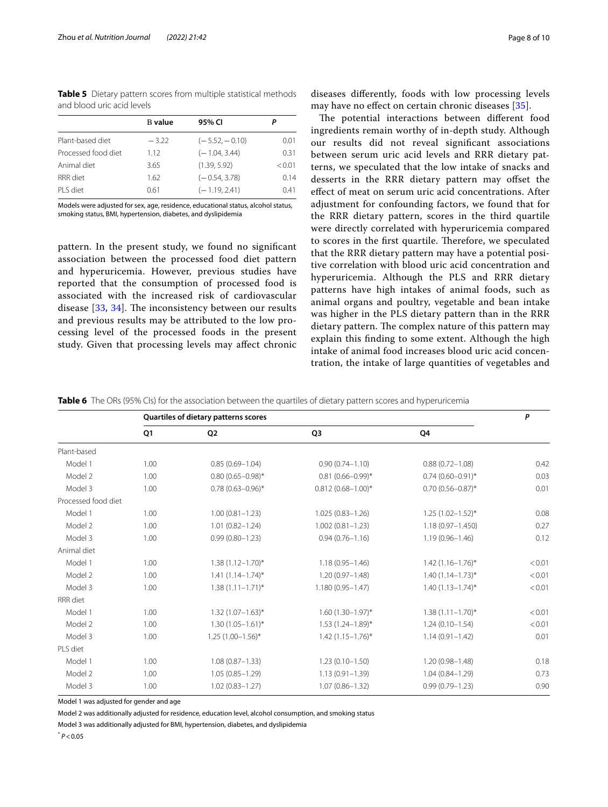<span id="page-7-0"></span>**Table 5** Dietary pattern scores from multiple statistical methods and blood uric acid levels

|                     | <b>B</b> value | 95% CI           | Р      |
|---------------------|----------------|------------------|--------|
| Plant-based diet    | $-3.22$        | $(-5.52, -0.10)$ | 0.01   |
| Processed food diet | 1.12           | $(-1.04, 3.44)$  | 0.31   |
| Animal diet         | 3.65           | (1.39, 5.92)     | < 0.01 |
| RRR diet            | 1.62           | $(-0.54, 3.78)$  | 0.14   |
| PI S diet           | 0.61           | $(-1.19.2.41)$   | 0.41   |
|                     |                |                  |        |

Models were adjusted for sex, age, residence, educational status, alcohol status, smoking status, BMI, hypertension, diabetes, and dyslipidemia

pattern. In the present study, we found no signifcant association between the processed food diet pattern and hyperuricemia. However, previous studies have reported that the consumption of processed food is associated with the increased risk of cardiovascular disease  $[33, 34]$  $[33, 34]$  $[33, 34]$ . The inconsistency between our results and previous results may be attributed to the low processing level of the processed foods in the present study. Given that processing levels may afect chronic

diseases diferently, foods with low processing levels may have no efect on certain chronic diseases [[35](#page-9-26)].

The potential interactions between different food ingredients remain worthy of in-depth study. Although our results did not reveal signifcant associations between serum uric acid levels and RRR dietary patterns, we speculated that the low intake of snacks and desserts in the RRR dietary pattern may offset the efect of meat on serum uric acid concentrations. After adjustment for confounding factors, we found that for the RRR dietary pattern, scores in the third quartile were directly correlated with hyperuricemia compared to scores in the first quartile. Therefore, we speculated that the RRR dietary pattern may have a potential positive correlation with blood uric acid concentration and hyperuricemia. Although the PLS and RRR dietary patterns have high intakes of animal foods, such as animal organs and poultry, vegetable and bean intake was higher in the PLS dietary pattern than in the RRR dietary pattern. The complex nature of this pattern may explain this fnding to some extent. Although the high intake of animal food increases blood uric acid concentration, the intake of large quantities of vegetables and

<span id="page-7-1"></span>**Table 6** The ORs (95% CIs) for the association between the quartiles of dietary pattern scores and hyperuricemia

|                     | Quartiles of dietary patterns scores |                         |                         |                         |        |
|---------------------|--------------------------------------|-------------------------|-------------------------|-------------------------|--------|
|                     | Q1                                   | Q2                      | Q <sub>3</sub>          | Q4                      |        |
| Plant-based         |                                      |                         |                         |                         |        |
| Model 1             | 1.00                                 | $0.85(0.69 - 1.04)$     | $0.90(0.74 - 1.10)$     | $0.88(0.72 - 1.08)$     | 0.42   |
| Model 2             | 1.00                                 | $0.80(0.65 - 0.98)^*$   | $0.81(0.66 - 0.99)^*$   | $0.74(0.60 - 0.91)^*$   | 0.03   |
| Model 3             | 1.00                                 | $0.78(0.63 - 0.96)^*$   | $0.812(0.68 - 1.00)^*$  | $0.70(0.56 - 0.87)^*$   | 0.01   |
| Processed food diet |                                      |                         |                         |                         |        |
| Model 1             | 1.00                                 | $1.00(0.81 - 1.23)$     | $1.025(0.83 - 1.26)$    | $1.25(1.02 - 1.52)^{*}$ | 0.08   |
| Model 2             | 1.00                                 | $1.01(0.82 - 1.24)$     | $1.002(0.81 - 1.23)$    | $1.18(0.97 - 1.450)$    | 0.27   |
| Model 3             | 1.00                                 | $0.99(0.80 - 1.23)$     | $0.94(0.76 - 1.16)$     | $1.19(0.96 - 1.46)$     | 0.12   |
| Animal diet         |                                      |                         |                         |                         |        |
| Model 1             | 1.00                                 | $1.38(1.12 - 1.70)^{*}$ | $1.18(0.95 - 1.46)$     | $1.42(1.16 - 1.76)^{*}$ | < 0.01 |
| Model 2             | 1.00                                 | $1.41(1.14 - 1.74)^{*}$ | $1.20(0.97 - 1.48)$     | $1.40(1.14 - 1.73)*$    | < 0.01 |
| Model 3             | 1.00                                 | $1.38(1.11 - 1.71)^{*}$ | $1.180(0.95 - 1.47)$    | $1.40(1.13 - 1.74)^{*}$ | < 0.01 |
| RRR diet            |                                      |                         |                         |                         |        |
| Model 1             | 1.00                                 | $1.32(1.07 - 1.63)^{*}$ | $1.60(1.30 - 1.97)^*$   | $1.38(1.11 - 1.70)^{*}$ | < 0.01 |
| Model 2             | 1.00                                 | $1.30(1.05 - 1.61)^{*}$ | $1.53(1.24 - 1.89)^{*}$ | $1.24(0.10 - 1.54)$     | < 0.01 |
| Model 3             | 1.00                                 | $1.25(1.00-1.56)$ *     | $1.42(1.15 - 1.76)^{*}$ | $1.14(0.91 - 1.42)$     | 0.01   |
| PLS diet            |                                      |                         |                         |                         |        |
| Model 1             | 1.00                                 | $1.08(0.87 - 1.33)$     | $1.23(0.10 - 1.50)$     | $1.20(0.98 - 1.48)$     | 0.18   |
| Model 2             | 1.00                                 | $1.05(0.85 - 1.29)$     | $1.13(0.91 - 1.39)$     | $1.04(0.84 - 1.29)$     | 0.73   |
| Model 3             | 1.00                                 | $1.02(0.83 - 1.27)$     | $1.07(0.86 - 1.32)$     | $0.99(0.79 - 1.23)$     | 0.90   |

Model 1 was adjusted for gender and age

Model 2 was additionally adjusted for residence, education level, alcohol consumption, and smoking status

Model 3 was additionally adjusted for BMI, hypertension, diabetes, and dyslipidemia

 $*$   $P < 0.05$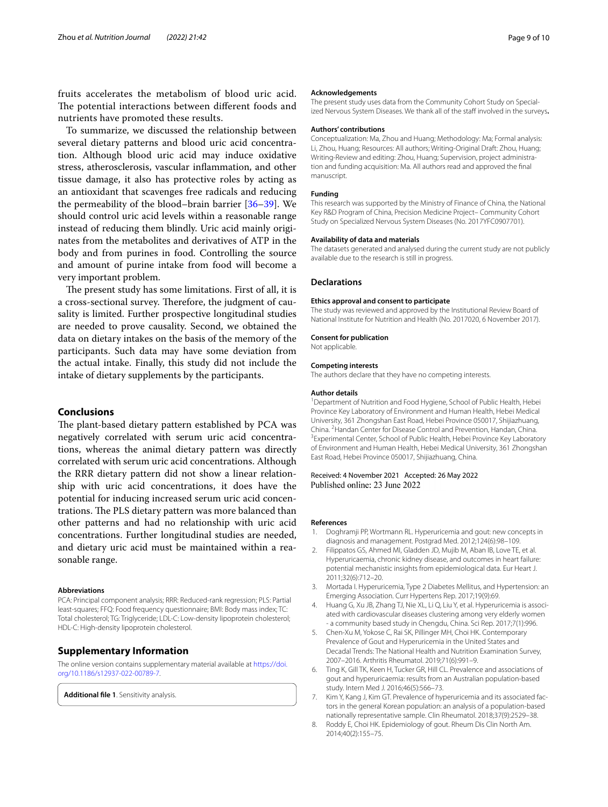fruits accelerates the metabolism of blood uric acid. The potential interactions between different foods and nutrients have promoted these results.

To summarize, we discussed the relationship between several dietary patterns and blood uric acid concentration. Although blood uric acid may induce oxidative stress, atherosclerosis, vascular infammation, and other tissue damage, it also has protective roles by acting as an antioxidant that scavenges free radicals and reducing the permeability of the blood–brain barrier [[36–](#page-9-27)[39](#page-9-28)]. We should control uric acid levels within a reasonable range instead of reducing them blindly. Uric acid mainly originates from the metabolites and derivatives of ATP in the body and from purines in food. Controlling the source and amount of purine intake from food will become a very important problem.

The present study has some limitations. First of all, it is a cross-sectional survey. Therefore, the judgment of causality is limited. Further prospective longitudinal studies are needed to prove causality. Second, we obtained the data on dietary intakes on the basis of the memory of the participants. Such data may have some deviation from the actual intake. Finally, this study did not include the intake of dietary supplements by the participants.

## **Conclusions**

The plant-based dietary pattern established by PCA was negatively correlated with serum uric acid concentrations, whereas the animal dietary pattern was directly correlated with serum uric acid concentrations. Although the RRR dietary pattern did not show a linear relationship with uric acid concentrations, it does have the potential for inducing increased serum uric acid concentrations. The PLS dietary pattern was more balanced than other patterns and had no relationship with uric acid concentrations. Further longitudinal studies are needed, and dietary uric acid must be maintained within a reasonable range.

#### **Abbreviations**

PCA: Principal component analysis; RRR: Reduced-rank regression; PLS: Partial least-squares; FFQ: Food frequency questionnaire; BMI: Body mass index; TC: Total cholesterol; TG: Triglyceride; LDL-C: Low-density lipoprotein cholesterol; HDL-C: High-density lipoprotein cholesterol.

## **Supplementary Information**

The online version contains supplementary material available at [https://doi.](https://doi.org/10.1186/s12937-022-00789-7) [org/10.1186/s12937-022-00789-7](https://doi.org/10.1186/s12937-022-00789-7).

**Additional fle 1**. Sensitivity analysis.

#### **Acknowledgements**

The present study uses data from the Community Cohort Study on Specialized Nervous System Diseases. We thank all of the staff involved in the surveys.

#### **Authors' contributions**

Conceptualization: Ma, Zhou and Huang; Methodology: Ma; Formal analysis: Li, Zhou, Huang; Resources: All authors; Writing-Original Draft: Zhou, Huang; Writing-Review and editing: Zhou, Huang; Supervision, project administration and funding acquisition: Ma. All authors read and approved the fnal manuscript.

#### **Funding**

This research was supported by the Ministry of Finance of China, the National Key R&D Program of China, Precision Medicine Project– Community Cohort Study on Specialized Nervous System Diseases (No. 2017YFC0907701).

#### **Availability of data and materials**

The datasets generated and analysed during the current study are not publicly available due to the research is still in progress.

#### **Declarations**

#### **Ethics approval and consent to participate**

The study was reviewed and approved by the Institutional Review Board of National Institute for Nutrition and Health (No. 2017020, 6 November 2017).

# **Consent for publication**

Not applicable.

#### **Competing interests**

The authors declare that they have no competing interests.

#### **Author details**

<sup>1</sup> Department of Nutrition and Food Hygiene, School of Public Health, Hebei Province Key Laboratory of Environment and Human Health, Hebei Medical University, 361 Zhongshan East Road, Hebei Province 050017, Shijiazhuang, China. <sup>2</sup> Handan Center for Disease Control and Prevention, Handan, China.<br><sup>3</sup> Experimental Center School of Public Hoalth, Hobei Province Key Laborato <sup>3</sup> Experimental Center, School of Public Health, Hebei Province Key Laboratory of Environment and Human Health, Hebei Medical University, 361 Zhongshan East Road, Hebei Province 050017, Shijiazhuang, China.

Received: 4 November 2021 Accepted: 26 May 2022

#### **References**

- <span id="page-8-0"></span>1. Doghramji PP, Wortmann RL. Hyperuricemia and gout: new concepts in diagnosis and management. Postgrad Med. 2012;124(6):98–109.
- <span id="page-8-5"></span>2. Filippatos GS, Ahmed MI, Gladden JD, Mujib M, Aban IB, Love TE, et al. Hyperuricaemia, chronic kidney disease, and outcomes in heart failure: potential mechanistic insights from epidemiological data. Eur Heart J. 2011;32(6):712–20.
- 3. Mortada I. Hyperuricemia, Type 2 Diabetes Mellitus, and Hypertension: an Emerging Association. Curr Hypertens Rep. 2017;19(9):69.
- <span id="page-8-1"></span>4. Huang G, Xu JB, Zhang TJ, Nie XL, Li Q, Liu Y, et al. Hyperuricemia is associated with cardiovascular diseases clustering among very elderly women - a community based study in Chengdu, China. Sci Rep. 2017;7(1):996.
- <span id="page-8-2"></span>5. Chen-Xu M, Yokose C, Rai SK, Pillinger MH, Choi HK. Contemporary Prevalence of Gout and Hyperuricemia in the United States and Decadal Trends: The National Health and Nutrition Examination Survey, 2007–2016. Arthritis Rheumatol. 2019;71(6):991–9.
- 6. Ting K, Gill TK, Keen H, Tucker GR, Hill CL. Prevalence and associations of gout and hyperuricaemia: results from an Australian population-based study. Intern Med J. 2016;46(5):566–73.
- <span id="page-8-3"></span>7. Kim Y, Kang J, Kim GT. Prevalence of hyperuricemia and its associated factors in the general Korean population: an analysis of a population-based nationally representative sample. Clin Rheumatol. 2018;37(9):2529–38.
- <span id="page-8-4"></span>8. Roddy E, Choi HK. Epidemiology of gout. Rheum Dis Clin North Am. 2014;40(2):155–75.